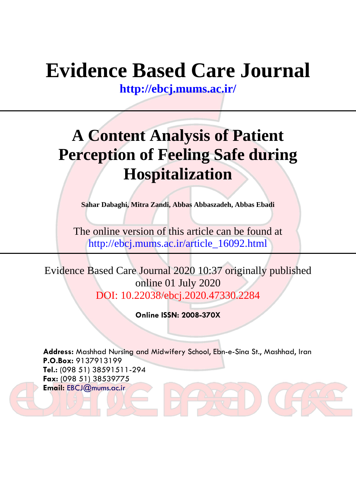# **Evidence Based Care Journal**

**<http://ebcj.mums.ac.ir/>**

## **A Content Analysis of Patient Perception of Feeling Safe during Hospitalization**

**Sahar Dabaghi, Mitra Zandi, Abbas Abbaszadeh, Abbas Ebadi** 

The online version of this article can be found at http://ebcj.mums.ac.ir/article\_16092.html

Evidence Based Care Journal 2020 10:37 originally published online 01 July 2020 DOI: 10.22038/ebcj.2020.47330.2284

**Online ISSN: 2008-370X**

**Address:** Mashhad Nursing and Midwifery School, Ebn-e-Sina St., Mashhad, Iran **P.O.Box:** 9137913199 **Tel.:** (098 51) 38591511-294 **Fax:** (098 51) 38539775 **Email:** [EBCJ@mums.ac.ir](mailto:EBCJ@mums.ac.ir)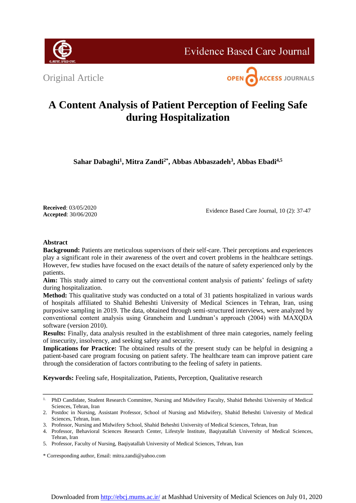

**Evidence Based Care Journal** 

Original Article



### **A Content Analysis of Patient Perception of Feeling Safe during Hospitalization**

**Sahar Dabaghi<sup>1</sup> , Mitra Zandi2\*, Abbas Abbaszadeh<sup>3</sup> , Abbas Ebadi4,5**

**Received**: 03/05/2020 **Accepted**: 30/06/2020

Evidence Based Care Journal, 10 (2): 37-47

#### **Abstract**

**Background:** Patients are meticulous supervisors of their self-care. Their perceptions and experiences play a significant role in their awareness of the overt and covert problems in the healthcare settings. However, few studies have focused on the exact details of the nature of safety experienced only by the patients.

**Aim:** This study aimed to carry out the conventional content analysis of patients' feelings of safety during hospitalization.

**Method:** This qualitative study was conducted on a total of 31 patients hospitalized in various wards of hospitals affiliated to Shahid Beheshti University of Medical Sciences in Tehran, Iran, using purposive sampling in 2019. The data, obtained through semi-structured interviews, were analyzed by conventional content analysis using Graneheim and Lundman's approach (2004) with MAXQDA software (version 2010).

**Results:** Finally, data analysis resulted in the establishment of three main categories, namely feeling of insecurity, insolvency, and seeking safety and security.

**Implications for Practice:** The obtained results of the present study can be helpful in designing a patient-based care program focusing on patient safety. The healthcare team can improve patient care through the consideration of factors contributing to the feeling of safety in patients.

**Keywords:** Feeling safe, Hospitalization, Patients, Perception, Qualitative research

<sup>&</sup>lt;sup>1.</sup> PhD Candidate, Student Research Committee, Nursing and Midwifery Faculty, Shahid Beheshti University of Medical Sciences, Tehran, Iran

<sup>2.</sup> Postdoc in Nursing, Assistant Professor, School of Nursing and Midwifery, Shahid Beheshti University of Medical Sciences, Tehran, Iran.

<sup>3.</sup> Professor, Nursing and Midwifery School, Shahid Beheshti University of Medical Sciences, Tehran, Iran

<sup>4.</sup> Professor, Behavioral Sciences Research Center, Lifestyle Institute, Baqiyatallah University of Medical Sciences, Tehran, Iran

<sup>5.</sup> Professor, Faculty of Nursing, Baqiyatallah University of Medical Sciences, Tehran, Iran

<sup>\*</sup> Corresponding author, Email: mitra.zandi@yahoo.com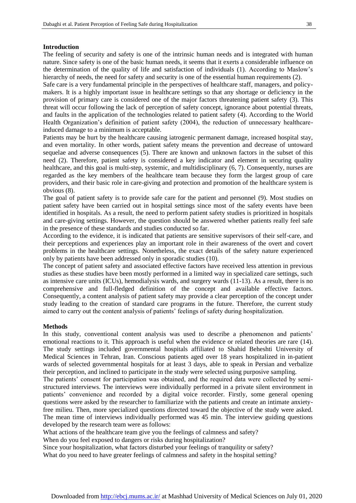#### **Introduction**

The feeling of security and safety is one of the intrinsic human needs and is integrated with human nature. Since safety is one of the basic human needs, it seems that it exerts a considerable influence on the determination of the quality of life and satisfaction of individuals (1). According to Maslow's hierarchy of needs, the need for safety and security is one of the essential human requirements (2).

Safe care is a very fundamental principle in the perspectives of healthcare staff, managers, and policymakers. It is a highly important issue in healthcare settings so that any shortage or deficiency in the provision of primary care is considered one of the major factors threatening patient safety (3). This threat will occur following the lack of perception of safety concept, ignorance about potential threats, and faults in the application of the technologies related to patient safety (4). According to the World Health Organization's definition of patient safety (2004), the reduction of unnecessary healthcareinduced damage to a minimum is acceptable.

Patients may be hurt by the healthcare causing iatrogenic permanent damage, increased hospital stay, and even mortality. In other words, patient safety means the prevention and decrease of untoward sequelae and adverse consequences (5). There are known and unknown factors in the subset of this need (2). Therefore, patient safety is considered a key indicator and element in securing quality healthcare, and this goal is multi-step, systemic, and multidisciplinary  $(6, 7)$ . Consequently, nurses are regarded as the key members of the healthcare team because they form the largest group of care providers, and their basic role in care-giving and protection and promotion of the healthcare system is obvious (8).

The goal of patient safety is to provide safe care for the patient and personnel (9). Most studies on patient safety have been carried out in hospital settings since most of the safety events have been identified in hospitals. As a result, the need to perform patient safety studies is prioritized in hospitals and care-giving settings. However, the question should be answered whether patients really feel safe in the presence of these standards and studies conducted so far.

According to the evidence, it is indicated that patients are sensitive supervisors of their self-care, and their perceptions and experiences play an important role in their awareness of the overt and covert problems in the healthcare settings. Nonetheless, the exact details of the safety nature experienced only by patients have been addressed only in sporadic studies (10).

The concept of patient safety and associated effective factors have received less attention in previous studies as these studies have been mostly performed in a limited way in specialized care settings, such as intensive care units (ICUs), hemodialysis wards, and surgery wards (11-13). As a result, there is no comprehensive and full-fledged definition of the concept and available effective factors. Consequently, a content analysis of patient safety may provide a clear perception of the concept under study leading to the creation of standard care programs in the future. Therefore, the current study aimed to carry out the content analysis of patients' feelings of safety during hospitalization.

#### **Methods**

In this study, conventional content analysis was used to describe a phenomenon and patients' emotional reactions to it. This approach is useful when the evidence or related theories are rare  $(14)$ . The study settings included governmental hospitals affiliated to Shahid Beheshti University of Medical Sciences in Tehran, Iran. Conscious patients aged over 18 years hospitalized in in-patient wards of selected governmental hospitals for at least 3 days, able to speak in Persian and verbalize their perception, and inclined to participate in the study were selected using purposive sampling.

The patients' consent for participation was obtained, and the required data were collected by semistructured interviews. The interviews were individually performed in a private silent environment in patients' convenience and recorded by a digital voice recorder. Firstly, some general opening questions were asked by the researcher to familiarize with the patients and create an intimate anxietyfree milieu. Then, more specialized questions directed toward the objective of the study were asked. The mean time of interviews individually performed was 45 min. The interview guiding questions developed by the research team were as follows:

What actions of the healthcare team give you the feelings of calmness and safety?

When do you feel exposed to dangers or risks during hospitalization?

Since your hospitalization, what factors disturbed your feelings of tranquility or safety?

What do you need to have greater feelings of calmness and safety in the hospital setting?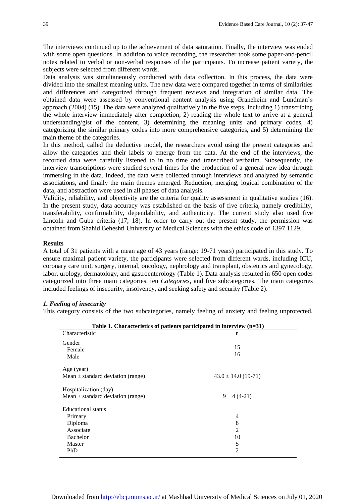The interviews continued up to the achievement of data saturation. Finally, the interview was ended with some open questions. In addition to voice recording, the researcher took some paper-and-pencil notes related to verbal or non-verbal responses of the participants. To increase patient variety, the subjects were selected from different wards.

Data analysis was simultaneously conducted with data collection. In this process, the data were divided into the smallest meaning units. The new data were compared together in terms of similarities and differences and categorized through frequent reviews and integration of similar data. The obtained data were assessed by conventional content analysis using Graneheim and Lundman's approach (2004) (15). The data were analyzed qualitatively in the five steps, including 1) transcribing the whole interview immediately after completion, 2) reading the whole text to arrive at a general understanding/gist of the content, 3) determining the meaning units and primary codes, 4) categorizing the similar primary codes into more comprehensive categories, and 5) determining the main theme of the categories.

In this method, called the deductive model, the researchers avoid using the present categories and allow the categories and their labels to emerge from the data. At the end of the interviews, the recorded data were carefully listened to in no time and transcribed verbatim. Subsequently, the interview transcriptions were studied several times for the production of a general new idea through immersing in the data. Indeed, the data were collected through interviews and analyzed by semantic associations, and finally the main themes emerged. Reduction, merging, logical combination of the data, and abstraction were used in all phases of data analysis.

Validity, reliability, and objectivity are the criteria for quality assessment in qualitative studies (16). In the present study, data accuracy was established on the basis of five criteria, namely credibility, transferability, confirmability, dependability, and authenticity. The current study also used five Lincoln and Guba criteria (17, 18). In order to carry out the present study, the permission was obtained from Shahid Beheshti University of Medical Sciences with the ethics code of 1397.1129.

#### **Results**

A total of 31 patients with a mean age of 43 years (range: 19-71 years) participated in this study. To ensure maximal patient variety, the participants were selected from different wards, including ICU, coronary care unit, surgery, internal, oncology, nephrology and transplant, obstetrics and gynecology, labor, urology, dermatology, and gastroenterology (Table 1). Data analysis resulted in 650 open codes categorized into three main categories, ten *Categories,* and five subcategories. The main categories included feelings of insecurity, insolvency, and seeking safety and security (Table 2).

#### *1. Feeling of insecurity*

This category consists of the two subcategories, namely feeling of anxiety and feeling unprotected,

| Table 1. Characteristics of patients participated in interview $(n=31)$                   |                                                       |  |  |
|-------------------------------------------------------------------------------------------|-------------------------------------------------------|--|--|
| Characteristic                                                                            | n                                                     |  |  |
| Gender<br>Female<br>Male                                                                  | 15<br>16                                              |  |  |
| Age (year)<br>Mean $\pm$ standard deviation (range)                                       | $43.0 \pm 14.0$ (19-71)                               |  |  |
| Hospitalization (day)<br>Mean $\pm$ standard deviation (range)                            | $9 \pm 4(4-21)$                                       |  |  |
| Educational status<br>Primary<br>Diploma<br>Associate<br><b>Bachelor</b><br>Master<br>PhD | 4<br>8<br>$\overline{c}$<br>10<br>5<br>$\overline{c}$ |  |  |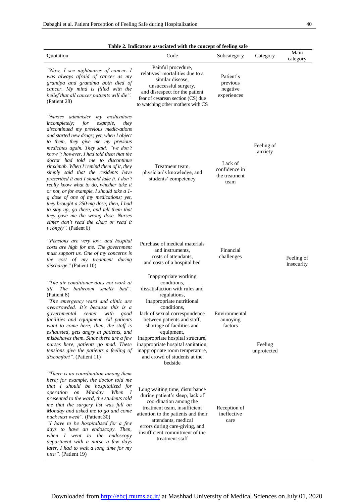| ٠ | I<br>I<br>٩ |
|---|-------------|

| Quotation                                                                                                                                                                                                                                                                                                                                                                                                                                                                                                                                                                                                                                                                                                                                                                                                | Code                                                                                                                                                                                                                                                                                                                                                                                                                  | Subcategory                                       | Category               | Main<br>category         |
|----------------------------------------------------------------------------------------------------------------------------------------------------------------------------------------------------------------------------------------------------------------------------------------------------------------------------------------------------------------------------------------------------------------------------------------------------------------------------------------------------------------------------------------------------------------------------------------------------------------------------------------------------------------------------------------------------------------------------------------------------------------------------------------------------------|-----------------------------------------------------------------------------------------------------------------------------------------------------------------------------------------------------------------------------------------------------------------------------------------------------------------------------------------------------------------------------------------------------------------------|---------------------------------------------------|------------------------|--------------------------|
| "Now, I see nightmares of cancer. I<br>was always afraid of cancer as my<br>grandpa and grandma both died of<br>cancer. My mind is filled with the<br>belief that all cancer patients will die".<br>(Patient 28)                                                                                                                                                                                                                                                                                                                                                                                                                                                                                                                                                                                         | Painful procedure,<br>relatives' mortalities due to a<br>similar disease.<br>unsuccessful surgery,<br>and disrespect for the patient<br>fear of cesarean section (CS) due<br>to watching other mothers with CS                                                                                                                                                                                                        | Patient's<br>previous<br>negative<br>experiences  |                        |                          |
| "Nurses administer my medications<br>incompletely;<br>for<br>example,<br>they<br>discontinued my previous medic-ations<br>and started new drugs; yet, when I object<br>to them, they give me my previous<br>medicines again. They said: "we don't<br>know"; however, I had told them that the<br>doctor had told me to discontinue<br>rituximab. When I remind them of it, they<br>simply said that the residents have<br>prescribed it and I should take it. I don't<br>really know what to do, whether take it<br>or not, or for example, I should take a 1-<br>g dose of one of my medications; yet,<br>they brought a 250-mg dose; then, I had<br>to stay up, go there, and tell them that<br>they gave me the wrong dose. Nurses<br>either don't read the chart or read it<br>wrongly". (Patient 6) | Treatment team,<br>physician's knowledge, and<br>students' competency                                                                                                                                                                                                                                                                                                                                                 | Lack of<br>confidence in<br>the treatment<br>team | Feeling of<br>anxiety  |                          |
| "Pensions are very low, and hospital<br>costs are high for me. The government<br>must support us. One of my concerns is<br>the cost of my treatment during<br>discharge." (Patient 10)                                                                                                                                                                                                                                                                                                                                                                                                                                                                                                                                                                                                                   | Purchase of medical materials<br>and instruments.<br>costs of attendants,<br>and costs of a hospital bed                                                                                                                                                                                                                                                                                                              | Financial<br>challenges                           |                        | Feeling of<br>insecurity |
| "The air conditioner does not work at<br>all.<br>The<br>bathroom smells bad".<br>(Patient 8)<br>"The emergency ward and clinic are<br>overcrowded. It's because this is a<br>governmental center with good<br>facilities and equipment. All patients<br>want to come here; then, the staff is<br>exhausted, gets angry at patients, and<br>misbehaves them. Since there are a few<br>nurses here, patients go mad. These<br>tensions give the patients a feeling of<br><i>discomfort"</i> . (Patient 11)                                                                                                                                                                                                                                                                                                 | Inappropriate working<br>conditions,<br>dissatisfaction with rules and<br>regulations,<br>inappropriate nutritional<br>conditions,<br>lack of sexual correspondence Environmental<br>between patients and staff,<br>shortage of facilities and<br>equipment,<br>inappropriate hospital structure,<br>inappropriate hospital sanitation,<br>inappropriate room temperature,<br>and crowd of students at the<br>bedside | annoying<br>factors                               | Feeling<br>unprotected |                          |
| "There is no coordination among them<br>here; for example, the doctor told me<br>that I should be hospitalized for<br>operation on Monday.<br>When I<br>presented to the ward, the students told<br>me that the surgery list was full on<br>Monday and asked me to go and come<br>back next week". (Patient 30)<br>"I have to be hospitalized for a few<br>days to have an endoscopy. Then,<br>when I went to the endoscopy<br>department with a nurse a few days<br>later, I had to wait a long time for my<br>turn". (Patient 19)                                                                                                                                                                                                                                                                      | Long waiting time, disturbance<br>during patient's sleep, lack of<br>coordination among the<br>treatment team, insufficient<br>attention to the patients and their<br>attendants, medical<br>errors during care-giving, and<br>insufficient commitment of the<br>treatment staff                                                                                                                                      | Reception of<br>ineffective<br>care               |                        |                          |

**Table 2. Indicators associated with the concept of feeling safe**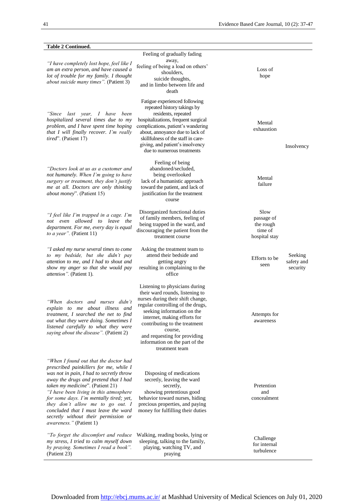| <b>Table 2 Continued.</b>                                                                                                                                                                                                                                                                                                                                                                                                                            |                                                                                                                                                                                                                                                                                                                                           |                                                             |
|------------------------------------------------------------------------------------------------------------------------------------------------------------------------------------------------------------------------------------------------------------------------------------------------------------------------------------------------------------------------------------------------------------------------------------------------------|-------------------------------------------------------------------------------------------------------------------------------------------------------------------------------------------------------------------------------------------------------------------------------------------------------------------------------------------|-------------------------------------------------------------|
| "I have completely lost hope, feel like I<br>am an extra person, and have caused a<br>lot of trouble for my family. I thought<br>about suicide many times". (Patient 3)                                                                                                                                                                                                                                                                              | Feeling of gradually fading<br>away,<br>feeling of being a load on others'<br>shoulders,<br>suicide thoughts,<br>and in limbo between life and<br>death                                                                                                                                                                                   | Loss of<br>hope                                             |
| "Since<br>last year, I have<br>been<br>hospitalized several times due to my<br>problem, and I have spent time hoping<br>that I will finally recover. I'm really<br><i>tired</i> ". (Patient 17)                                                                                                                                                                                                                                                      | Fatigue experienced following<br>repeated history takings by<br>residents, repeated<br>hospitalizations, frequent surgical<br>complications, patient's wandering<br>about, annoyance due to lack of<br>skillfulness of the staff in care-<br>giving, and patient's insolvency<br>due to numerous treatments                               | Mental<br>exhaustion<br>Insolvency                          |
| "Doctors look at us as a customer and<br>not humanely. When I'm going to have<br>surgery or treatment, they don't justify<br>me at all. Doctors are only thinking<br><i>about money</i> ". (Patient 15)                                                                                                                                                                                                                                              | Feeling of being<br>abandoned/secluded,<br>being overlooked<br>lack of a humanistic approach<br>toward the patient, and lack of<br>justification for the treatment<br>course                                                                                                                                                              | Mental<br>failure                                           |
| "I feel like I'm trapped in a cage. I'm<br>not even allowed to leave the<br>department. For me, every day is equal<br>to a year". (Patient 11)                                                                                                                                                                                                                                                                                                       | Disorganized functional duties<br>of family members, feeling of<br>being trapped in the ward, and<br>discouraging the patient from the<br>treatment course                                                                                                                                                                                | Slow<br>passage of<br>the rough<br>time of<br>hospital stay |
| "I asked my nurse several times to come<br>to my bedside, but she didn't pay<br>attention to me, and I had to shout and<br>show my anger so that she would pay<br><i>attention</i> ". (Patient 1).                                                                                                                                                                                                                                                   | Asking the treatment team to<br>attend their bedside and<br>getting angry<br>resulting in complaining to the<br>office                                                                                                                                                                                                                    | Seeking<br>Efforts to be<br>safety and<br>seen<br>security  |
| "When doctors and nurses didn't<br>explain to me about illness and<br>treatment, I searched the net to find<br>out what they were doing. Sometimes I<br>listened carefully to what they were<br>saying about the disease". (Patient 2)                                                                                                                                                                                                               | Listening to physicians during<br>their ward rounds, listening to<br>nurses during their shift change,<br>regular controlling of the drugs,<br>seeking information on the<br>internet, making efforts for<br>contributing to the treatment<br>course,<br>and requesting for providing<br>information on the part of the<br>treatment team | Attempts for<br>awareness                                   |
| "When I found out that the doctor had<br>prescribed painkillers for me, while I<br>was not in pain, I had to secretly throw<br>away the drugs and pretend that I had<br>taken my medicine". (Patient 21)<br>"I have been living in this atmosphere<br>for some days. I'm mentally tired; yet,<br>they don't allow me to go out. I<br>concluded that I must leave the ward<br>secretly without their permission or<br><i>awareness.</i> " (Patient 1) | Disposing of medications<br>secretly, leaving the ward<br>secretly,<br>showing pretentious good<br>behavior toward nurses, hiding<br>precious properties, and paying<br>money for fulfilling their duties                                                                                                                                 | Pretention<br>and<br>concealment                            |
| "To forget the discomfort and reduce<br>my stress, I tried to calm myself down<br>by praying. Sometimes I read a book".<br>(Patient 23)                                                                                                                                                                                                                                                                                                              | Walking, reading books, lying or<br>sleeping, talking to the family,<br>playing, watching TV, and<br>praying                                                                                                                                                                                                                              | Challenge<br>for internal<br>turbulence                     |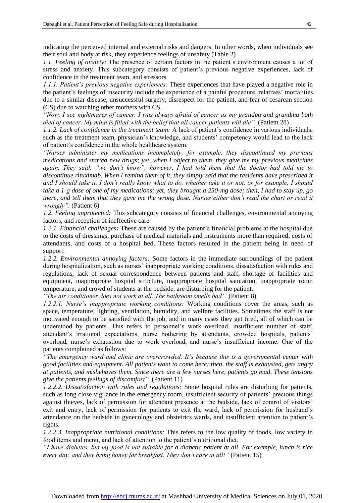indicating the perceived internal and external risks and dangers. In other words, when individuals see their soul and body at risk, they experience feelings of unsafety (Table 2).

*1.1. Feeling of anxiety:* The presence of certain factors in the patient's environment causes a lot of stress and anxiety. This subcategory consists of patient's previous negative experiences, lack of confidence in the treatment team, and stressors.

*1.1.1. Patient's previous negative experiences:* These experiences that have played a negative role in the patient's feelings of insecurity include the experience of a painful procedure, relatives' mortalities due to a similar disease, unsuccessful surgery, disrespect for the patient, and fear of cesarean section (CS) due to watching other mothers with CS.

*"Now, I see nightmares of cancer. I was always afraid of cancer as my grandpa and grandma both died of cancer. My mind is filled with the belief that all cancer patients will die".* (Patient 28)

*1.1.2. Lack of confidence in the treatment team:* A lack of patient's confidence in various individuals, such as the treatment team, physician's knowledge, and students' competency would lead to the lack of patient's confidence in the whole healthcare system.

*"Nurses administer my medications incompletely; for example, they discontinued my previous medications and started new drugs; yet, when I object to them, they give me my previous medicines again. They said: "we don't know"; however, I had told them that the doctor had told me to discontinue rituximab. When I remind them of it, they simply said that the residents have prescribed it and I should take it. I don't really know what to do, whether take it or not, or for example, I should take a 1-g dose of one of my medications; yet, they brought a 250-mg dose; then, I had to stay up, go there, and tell them that they gave me the wrong dose. Nurses either don't read the chart or read it wrongly".* (Patient 6)

*1.2. Feeling unprotected:* This subcategory consists of financial challenges, environmental annoying factors, and reception of ineffective care.

*1.2.1. Financial challenges:* These are caused by the patient's financial problems at the hospital due to the costs of dressings, purchase of medical materials and instruments more than required, costs of attendants, and costs of a hospital bed. These factors resulted in the patient being in need of support.

*1.2.2. Environmental annoying factors:* Some factors in the immediate surroundings of the patient during hospitalization, such as nurses' inappropriate working conditions, dissatisfaction with rules and regulations, lack of sexual correspondence between patients and staff, shortage of facilities and equipment, inappropriate hospital structure, inappropriate hospital sanitation, inappropriate room temperature, and crowd of students at the bedside, are disturbing for the patient.

*"The air conditioner does not work at all. The bathroom smells bad".* (Patient 8)

*1.2.2.1. Nurse's inappropriate working conditions:* Working conditions cover the areas, such as space, temperature, lighting, ventilation, humidity, and welfare facilities. Sometimes the staff is not motivated enough to be satisfied with the job, and in many cases they get tired, all of which can be understood by patients. This refers to personnel's work overload, insufficient number of staff, attendant's irrational expectations, nurse bothering by attendants, crowded hospitals, patients' overload, nurse's exhaustion due to work overload, and nurse's insufficient income. One of the patients complained as follows:

*"The emergency ward and clinic are overcrowded. It's because this is a governmental center with good facilities and equipment. All patients want to come here; then, the staff is exhausted, gets angry at patients, and misbehaves them. Since there are a few nurses here, patients go mad. These tensions give the patients feelings of discomfort".* (Patient 11)

*1.2.2.2. Dissatisfaction with rules and regulations:* Some hospital rules are disturbing for patients, such as long close vigilance in the emergency room, insufficient security of patients' precious things against thieves, lack of permission for attendant presence at the bedside, lack of control of visitors' exit and entry, lack of permission for patients to exit the ward, lack of permission for husband's attendance on the bedside in gynecology and obstetrics wards, and insufficient attention to patient's rights.

*1.2.2.3. Inappropriate nutritional conditions:* This refers to the low quality of foods, low variety in food items and menu, and lack of attention to the patient's nutritional diet.

*"I have diabetes, but my food is not suitable for a diabetic patient at all. For example, lunch is rice every day, and they bring honey for breakfast. They don't care at all!"* (Patient 15)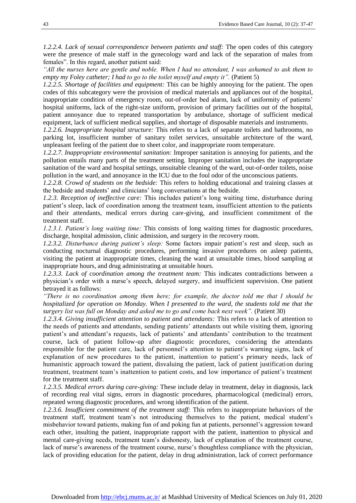*1.2.2.4. Lack of sexual correspondence between patients and staff:* The open codes of this category were the presence of male staff in the gynecology ward and lack of the separation of males from females". In this regard, another patient said:

*"All the nurses here are gentle and noble. When I had no attendant, I was ashamed to ask them to empty my Foley catheter; I had to go to the toilet myself and empty it".* (Patient 5)

*1.2.2.5. Shortage of facilities and equipment:* This can be highly annoying for the patient. The open codes of this subcategory were the provision of medical materials and appliances out of the hospital, inappropriate condition of emergency room, out-of-order bed alarm, lack of uniformity of patients' hospital uniforms, lack of the right-size uniform, provision of primary facilities out of the hospital, patient annoyance due to repeated transportation by ambulance, shortage of sufficient medical equipment, lack of sufficient medical supplies, and shortage of disposable materials and instruments.

*1.2.2.6. Inappropriate hospital structure:* This refers to a lack of separate toilets and bathrooms, no parking lot, insufficient number of sanitary toilet services, unsuitable architecture of the ward, unpleasant feeling of the patient due to sheet color, and inappropriate room temperature.

*1.2.2.7. Inappropriate environmental sanitation:* Improper sanitation is annoying for patients, and the pollution entails many parts of the treatment setting. Improper sanitation includes the inappropriate sanitation of the ward and hospital settings, unsuitable cleaning of the ward, out-of-order toilets, noise pollution in the ward, and annoyance in the ICU due to the foul odor of the unconscious patients.

*1.2.2.8. Crowd of students on the bedside:* This refers to holding educational and training classes at the bedside and students' and clinicians' long conversations at the bedside.

*1.2.3. Reception of ineffective care:* This includes patient's long waiting time, disturbance during patient's sleep, lack of coordination among the treatment team, insufficient attention to the patients and their attendants, medical errors during care-giving, and insufficient commitment of the treatment staff.

*1.2.3.1. Patient's long waiting time:* This consists of long waiting times for diagnostic procedures, discharge, hospital admission, clinic admission, and surgery in the recovery room.

*1.2.3.2. Disturbance during patient's sleep:* Some factors impair patient's rest and sleep, such as conducting nocturnal diagnostic procedures, performing invasive procedures on asleep patients, visiting the patient at inappropriate times, cleaning the ward at unsuitable times, blood sampling at inappropriate hours, and drug administrating at unsuitable hours.

*1.2.3.3. Lack of coordination among the treatment team:* This indicates contradictions between a physician's order with a nurse's speech, delayed surgery, and insufficient supervision. One patient betrayed it as follows:

*"There is no coordination among them here; for example, the doctor told me that I should be hospitalized for operation on Monday. When I presented to the ward, the students told me that the surgery list was full on Monday and asked me to go and come back next week".* (Patient 30)

*1.2.3.4. Giving insufficient attention to patient and attendants:* This refers to a lack of attention to the needs of patients and attendants, sending patients' attendants out while visiting them, ignoring patient's and attendant's requests, lack of patients' and attendants' contribution to the treatment course, lack of patient follow-up after diagnostic procedures, considering the attendants responsible for the patient care, lack of personnel's attention to patient's warning signs, lack of explanation of new procedures to the patient, inattention to patient's primary needs, lack of humanistic approach toward the patient, disvaluing the patient, lack of patient justification during treatment, treatment team's inattention to patient costs, and low importance of patient's treatment for the treatment staff.

*1.2.3.5. Medical errors during care-giving:* These include delay in treatment, delay in diagnosis, lack of recording real vital signs, errors in diagnostic procedures, pharmacological (medicinal) errors, repeated wrong diagnostic procedures, and wrong identification of the patient.

*1.2.3.6. Insufficient commitment of the treatment staff:* This refers to inappropriate behaviors of the treatment staff, treatment team's not introducing themselves to the patient, medical student's misbehavior toward patients, making fun of and poking fun at patients, personnel's aggression toward each other, insulting the patient, inappropriate rapport with the patient, inattention to physical and mental care-giving needs, treatment team's dishonesty, lack of explanation of the treatment course, lack of nurse's awareness of the treatment course, nurse's thoughtless compliance with the physician, lack of providing education for the patient, delay in drug administration, lack of correct performance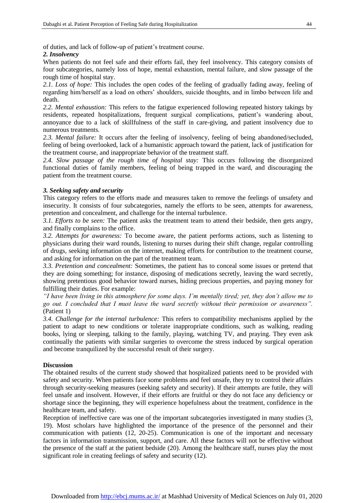of duties, and lack of follow-up of patient's treatment course.

#### *2. Insolvency*

When patients do not feel safe and their efforts fail, they feel insolvency. This category consists of four subcategories, namely loss of hope, mental exhaustion, mental failure, and slow passage of the rough time of hospital stay.

*2.1. Loss of hope:* This includes the open codes of the feeling of gradually fading away, feeling of regarding him/herself as a load on others' shoulders, suicide thoughts, and in limbo between life and death.

*2.2. Mental exhaustion:* This refers to the fatigue experienced following repeated history takings by residents, repeated hospitalizations, frequent surgical complications, patient's wandering about, annoyance due to a lack of skillfulness of the staff in care-giving, and patient insolvency due to numerous treatments.

*2.3. Mental failure:* It occurs after the feeling of insolvency, feeling of being abandoned/secluded, feeling of being overlooked, lack of a humanistic approach toward the patient, lack of justification for the treatment course, and inappropriate behavior of the treatment staff.

*2.4. Slow passage of the rough time of hospital stay:* This occurs following the disorganized functional duties of family members, feeling of being trapped in the ward, and discouraging the patient from the treatment course.

#### *3. Seeking safety and security*

This category refers to the efforts made and measures taken to remove the feelings of unsafety and insecurity. It consists of four subcategories, namely the efforts to be seen, attempts for awareness, pretention and concealment, and challenge for the internal turbulence.

*3.1. Efforts to be seen:* The patient asks the treatment team to attend their bedside, then gets angry, and finally complains to the office.

*3.2. Attempts for awareness:* To become aware, the patient performs actions, such as listening to physicians during their ward rounds, listening to nurses during their shift change, regular controlling of drugs, seeking information on the internet, making efforts for contribution to the treatment course, and asking for information on the part of the treatment team.

*3.3. Pretention and concealment:* Sometimes, the patient has to conceal some issues or pretend that they are doing something; for instance, disposing of medications secretly, leaving the ward secretly, showing pretentious good behavior toward nurses, hiding precious properties, and paying money for fulfilling their duties. For example:

*"I have been living in this atmosphere for some days. I'm mentally tired; yet, they don't allow me to go out. I concluded that I must leave the ward secretly without their permission or awareness".* (Patient 1)

*3.4. Challenge for the internal turbulence:* This refers to compatibility mechanisms applied by the patient to adapt to new conditions or tolerate inappropriate conditions, such as walking, reading books, lying or sleeping, talking to the family, playing, watching TV, and praying. They even ask continually the patients with similar surgeries to overcome the stress induced by surgical operation and become tranquilized by the successful result of their surgery.

#### **Discussion**

The obtained results of the current study showed that hospitalized patients need to be provided with safety and security. When patients face some problems and feel unsafe, they try to control their affairs through security-seeking measures (seeking safety and security). If their attempts are futile, they will feel unsafe and insolvent. However, if their efforts are fruitful or they do not face any deficiency or shortage since the beginning, they will experience hopefulness about the treatment, confidence in the healthcare team, and safety.

Reception of ineffective care was one of the important subcategories investigated in many studies (3, 19). Most scholars have highlighted the importance of the presence of the personnel and their communication with patients (12, 20-25). Communication is one of the important and necessary factors in information transmission, support, and care. All these factors will not be effective without the presence of the staff at the patient bedside (20). Among the healthcare staff, nurses play the most significant role in creating feelings of safety and security (12).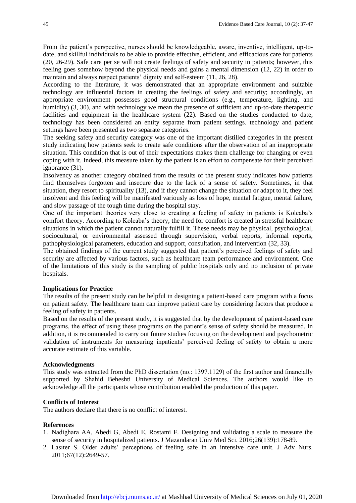From the patient's perspective, nurses should be knowledgeable, aware, inventive, intelligent, up-todate, and skillful individuals to be able to provide effective, efficient, and efficacious care for patients (20, 26-29). Safe care per se will not create feelings of safety and security in patients; however, this feeling goes somehow beyond the physical needs and gains a mental dimension (12, 22) in order to maintain and always respect patients' dignity and self-esteem (11, 26, 28).

According to the literature, it was demonstrated that an appropriate environment and suitable technology are influential factors in creating the feelings of safety and security; accordingly, an appropriate environment possesses good structural conditions (e.g., temperature, lighting, and humidity) (3, 30), and with technology we mean the presence of sufficient and up-to-date therapeutic facilities and equipment in the healthcare system (22). Based on the studies conducted to date, technology has been considered an entity separate from patient settings. technology and patient settings have been presented as two separate categories.

The seeking safety and security category was one of the important distilled categories in the present study indicating how patients seek to create safe conditions after the observation of an inappropriate situation. This condition that is out of their expectations makes them challenge for changing or even coping with it. Indeed, this measure taken by the patient is an effort to compensate for their perceived ignorance (31).

Insolvency as another category obtained from the results of the present study indicates how patients find themselves forgotten and insecure due to the lack of a sense of safety. Sometimes, in that situation, they resort to spirituality (13), and if they cannot change the situation or adapt to it, they feel insolvent and this feeling will be manifested variously as loss of hope, mental fatigue, mental failure, and slow passage of the tough time during the hospital stay.

One of the important theories very close to creating a feeling of safety in patients is Kolcaba's comfort theory. According to Kolcaba's theory, the need for comfort is created in stressful healthcare situations in which the patient cannot naturally fulfill it. These needs may be physical, psychological, sociocultural, or environmental assessed through supervision, verbal reports, informal reports, pathophysiological parameters, education and support, consultation, and intervention (32, 33).

The obtained findings of the current study suggested that patient's perceived feelings of safety and security are affected by various factors, such as healthcare team performance and environment. One of the limitations of this study is the sampling of public hospitals only and no inclusion of private hospitals.

#### **Implications for Practice**

The results of the present study can be helpful in designing a patient-based care program with a focus on patient safety. The healthcare team can improve patient care by considering factors that produce a feeling of safety in patients.

Based on the results of the present study, it is suggested that by the development of patient-based care programs, the effect of using these programs on the patient's sense of safety should be measured. In addition, it is recommended to carry out future studies focusing on the development and psychometric validation of instruments for measuring inpatients' perceived feeling of safety to obtain a more accurate estimate of this variable.

#### **Acknowledgments**

This study was extracted from the PhD dissertation (no.: 1397.1129) of the first author and financially supported by Shahid Beheshti University of Medical Sciences. The authors would like to acknowledge all the participants whose contribution enabled the production of this paper.

#### **Conflicts of Interest**

The authors declare that there is no conflict of interest.

#### **References**

- 1. Nadighara AA, Abedi G, Abedi E, Rostami F. Designing and validating a scale to measure the sense of security in hospitalized patients. J Mazandaran Univ Med Sci. 2016;26(139):178-89.
- 2. Lasiter S. Older adults' perceptions of feeling safe in an intensive care unit. J Adv Nurs. 2011;67(12):2649-57.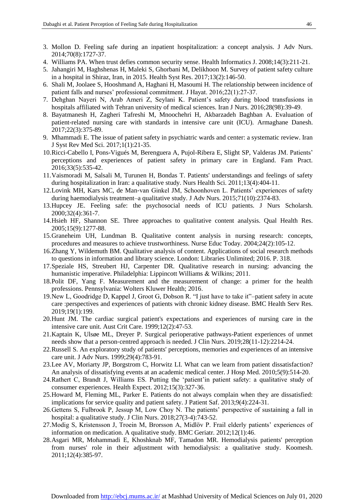- 3. Mollon D. Feeling safe during an inpatient hospitalization: a concept analysis. J Adv Nurs. 2014;70(8):1727-37.
- 4. Williams PA. When trust defies common security sense. Health Informatics J. 2008;14(3):211-21.
- 5. Jahangiri M, Haghshenas H, Maleki S, Ghorbani M, Delikhoon M. Survey of patient safety culture in a hospital in Shiraz, Iran, in 2015. Health Syst Res. 2017;13(2):146-50.
- 6. Shali M, Joolaee S, Hooshmand A, Haghani H, Masoumi H. The relationship between incidence of patient falls and nurses' professional commitment. J Hayat. 2016;22(1):27-37.
- 7. Dehghan Nayeri N, Arab Ameri Z, Seylani K. Patient's safety during blood transfusions in hospitals affiliated with Tehran university of medical sciences. Iran J Nurs. 2016;28(98):39-49.
- 8. Bayatmanesh H, Zagheri Tafreshi M, Mnoochehri H, Akbarzadeh Baghban A. Evaluation of patient-related nursing care with standards in intensive care unit (ICU). Armaghane Danesh. 2017;22(3):375-89.
- 9. Mhammadi E. The issue of patient safety in psychiatric wards and center: a systematic review. Iran J Syst Rev Med Sci. 2017;1(1):21-35.
- 10.Ricci-Cabello I, Pons-Vigués M, Berenguera A, Pujol-Ribera E, Slight SP, Valderas JM. Patients' perceptions and experiences of patient safety in primary care in England. Fam Pract. 2016;33(5):535-42.
- 11.Vaismoradi M, Salsali M, Turunen H, Bondas T. Patients' understandings and feelings of safety during hospitalization in Iran: a qualitative study. Nurs Health Sci. 2011;13(4):404-11.
- 12.Lovink MH, Kars MC, de Man‐van Ginkel JM, Schoonhoven L. Patients' experiences of safety during haemodialysis treatment–a qualitative study. J Adv Nurs. 2015;71(10):2374-83.
- 13.Hupcey JE. Feeling safe: the psychosocial needs of ICU patients. J Nurs Scholarsh. 2000;32(4):361-7.
- 14.Hsieh HF, Shannon SE. Three approaches to qualitative content analysis. Qual Health Res. 2005;15(9):1277-88.
- 15.Graneheim UH, Lundman B. Qualitative content analysis in nursing research: concepts, procedures and measures to achieve trustworthiness. Nurse Educ Today. 2004;24(2):105-12.
- 16.Zhang Y, Wildemuth BM. Qualitative analysis of content. Applications of social research methods to questions in information and library science. London: Libraries Unlimited; 2016. P. 318.
- 17.Speziale HS, Streubert HJ, Carpenter DR. Qualitative research in nursing: advancing the humanistic imperative. Philadelphia: Lippincott Williams & Wilkins; 2011.
- 18.Polit DF, Yang F. Measurement and the measurement of change: a primer for the health professions. Pennsylvania: Wolters Kluwer Health; 2016.
- 19.New L, Goodridge D, Kappel J, Groot G, Dobson R. "I just have to take it"–patient safety in acute care :perspectives and experiences of patients with chronic kidney disease. BMC Health Serv Res. 2019;19(1):199.
- 20.Hunt JM. The cardiac surgical patient's expectations and experiences of nursing care in the intensive care unit. Aust Crit Care. 1999;12(2):47-53.
- 21.Kaptain K, Ulsøe ML, Dreyer P. Surgical perioperative pathways-Patient experiences of unmet needs show that a person‐centred approach is needed. J Clin Nurs. 2019;28(11-12):2214-24.
- 22.Russell S. An exploratory study of patients' perceptions, memories and experiences of an intensive care unit. J Adv Nurs. 1999;29(4):783-91.
- 23.Lee AV, Moriarty JP, Borgstrom C, Horwitz LI. What can we learn from patient dissatisfaction? An analysis of dissatisfying events at an academic medical center. J Hosp Med. 2010;5(9):514-20.
- 24.Rathert C, Brandt J, Williams ES. Putting the 'patient'in patient safety: a qualitative study of consumer experiences. Health Expect. 2012;15(3):327-36.
- 25.Howard M, Fleming ML, Parker E. Patients do not always complain when they are dissatisfied: implications for service quality and patient safety. J Patient Saf. 2013;9(4):224-31.
- 26.Gettens S, Fulbrook P, Jessup M, Low Choy N. The patients' perspective of sustaining a fall in hospital: a qualitative study. J Clin Nurs. 2018;27(3-4):743-52.
- 27.Modig S, Kristensson J, Troein M, Brorsson A, Midlöv P. Frail elderly patients' experiences of information on medication. A qualitative study. BMC Geriatr. 2012;12(1):46.
- 28.Asgari MR, Mohammadi E, Khoshknab MF, Tamadon MR. Hemodialysis patients' perception from nurses' role in their adjustment with hemodialysis: a qualitative study. Koomesh. 2011;12(4):385-97.